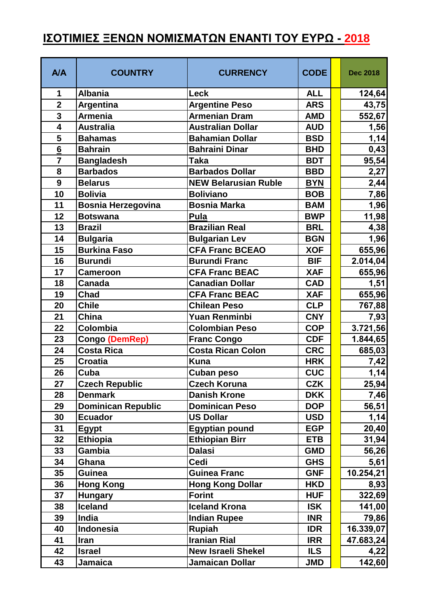## **ΙΣΟΤΙΜΙΕΣ ΞΕΝΩΝ ΝΟΜΙΣΜΑΤΩΝ ΕΝΑΝΤΙ ΤΟΥ ΕΥΡΩ - 2018**

| <b>A/A</b>      | <b>COUNTRY</b>            | <b>CURRENCY</b>             | <b>CODE</b> | <b>Dec 2018</b> |
|-----------------|---------------------------|-----------------------------|-------------|-----------------|
| 1               | <b>Albania</b>            | <b>Leck</b>                 | <b>ALL</b>  | 124,64          |
| $\overline{2}$  | Argentina                 | <b>Argentine Peso</b>       | <b>ARS</b>  | 43,75           |
| 3               | <b>Armenia</b>            | <b>Armenian Dram</b>        | <b>AMD</b>  | 552,67          |
| 4               | <b>Australia</b>          | <b>Australian Dollar</b>    | <b>AUD</b>  | 1,56            |
| 5               | <b>Bahamas</b>            | <b>Bahamian Dollar</b>      | <b>BSD</b>  | 1,14            |
| $6\phantom{1}6$ | <b>Bahrain</b>            | <b>Bahraini Dinar</b>       | <b>BHD</b>  | 0,43            |
| $\overline{7}$  | <b>Bangladesh</b>         | <b>Taka</b>                 | <b>BDT</b>  | 95,54           |
| 8               | <b>Barbados</b>           | <b>Barbados Dollar</b>      | <b>BBD</b>  | 2,27            |
| 9               | <b>Belarus</b>            | <b>NEW Belarusian Ruble</b> | <b>BYN</b>  | 2,44            |
| 10              | <b>Bolivia</b>            | <b>Boliviano</b>            | <b>BOB</b>  | 7,86            |
| 11              | <b>Bosnia Herzegovina</b> | <b>Bosnia Marka</b>         | <b>BAM</b>  | 1,96            |
| 12              | <b>Botswana</b>           | Pula                        | <b>BWP</b>  | 11,98           |
| 13              | <b>Brazil</b>             | <b>Brazilian Real</b>       | <b>BRL</b>  | 4,38            |
| 14              | <b>Bulgaria</b>           | <b>Bulgarian Lev</b>        | <b>BGN</b>  | 1,96            |
| 15              | <b>Burkina Faso</b>       | <b>CFA Franc BCEAO</b>      | <b>XOF</b>  | 655,96          |
| 16              | <b>Burundi</b>            | <b>Burundi Franc</b>        | <b>BIF</b>  | 2.014,04        |
| 17              | <b>Cameroon</b>           | <b>CFA Franc BEAC</b>       | <b>XAF</b>  | 655,96          |
| 18              | <b>Canada</b>             | <b>Canadian Dollar</b>      | <b>CAD</b>  | 1,51            |
| 19              | Chad                      | <b>CFA Franc BEAC</b>       | <b>XAF</b>  | 655,96          |
| 20              | <b>Chile</b>              | <b>Chilean Peso</b>         | <b>CLP</b>  | 767,88          |
| 21              | <b>China</b>              | <b>Yuan Renminbi</b>        | <b>CNY</b>  | 7,93            |
| 22              | Colombia                  | <b>Colombian Peso</b>       | <b>COP</b>  | 3.721,56        |
| 23              | <b>Congo (DemRep)</b>     | <b>Franc Congo</b>          | <b>CDF</b>  | 1.844,65        |
| 24              | <b>Costa Rica</b>         | <b>Costa Rican Colon</b>    | <b>CRC</b>  | 685,03          |
| 25              | <b>Croatia</b>            | <b>Kuna</b>                 | <b>HRK</b>  | 7,42            |
| 26              | Cuba                      | <b>Cuban peso</b>           | <b>CUC</b>  | 1,14            |
| 27              | <b>Czech Republic</b>     | <b>Czech Koruna</b>         | <b>CZK</b>  | 25,94           |
| 28              | <b>Denmark</b>            | <b>Danish Krone</b>         | <b>DKK</b>  | 7,46            |
| 29              | <b>Dominican Republic</b> | <b>Dominican Peso</b>       | <b>DOP</b>  | 56,51           |
| 30              | <b>Ecuador</b>            | <b>US Dollar</b>            | <b>USD</b>  | 1,14            |
| 31              | <b>Egypt</b>              | <b>Egyptian pound</b>       | <b>EGP</b>  | 20,40           |
| 32              | <b>Ethiopia</b>           | <b>Ethiopian Birr</b>       | <b>ETB</b>  | 31,94           |
| 33              | <b>Gambia</b>             | <b>Dalasi</b>               | <b>GMD</b>  | 56,26           |
| 34              | Ghana                     | Cedi                        | <b>GHS</b>  | 5,61            |
| 35              | <b>Guinea</b>             | <b>Guinea Franc</b>         | <b>GNF</b>  | 10.254,21       |
| 36              | <b>Hong Kong</b>          | <b>Hong Kong Dollar</b>     | <b>HKD</b>  | 8,93            |
| 37              | <b>Hungary</b>            | <b>Forint</b>               | <b>HUF</b>  | 322,69          |
| 38              | <b>Iceland</b>            | <b>Iceland Krona</b>        | <b>ISK</b>  | 141,00          |
| 39              | India                     | <b>Indian Rupee</b>         | <b>INR</b>  | 79,86           |
| 40              | Indonesia                 | <b>Rupiah</b>               | <b>IDR</b>  | 16.339,07       |
| 41              | <b>Iran</b>               | <b>Iranian Rial</b>         | <b>IRR</b>  | 47.683,24       |
| 42              | <b>Israel</b>             | <b>New Israeli Shekel</b>   | <b>ILS</b>  | 4,22            |
| 43              | Jamaica                   | <b>Jamaican Dollar</b>      | <b>JMD</b>  | 142,60          |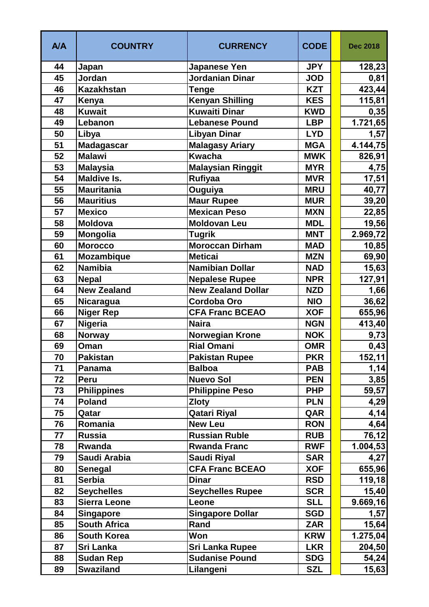| <b>A/A</b> | <b>COUNTRY</b>      | <b>CURRENCY</b>           | <b>CODE</b> | <b>Dec 2018</b> |
|------------|---------------------|---------------------------|-------------|-----------------|
| 44         | Japan               | <b>Japanese Yen</b>       | <b>JPY</b>  | 128,23          |
| 45         | Jordan              | <b>Jordanian Dinar</b>    | <b>JOD</b>  | 0,81            |
| 46         | <b>Kazakhstan</b>   | <b>Tenge</b>              | <b>KZT</b>  | 423,44          |
| 47         | Kenya               | <b>Kenyan Shilling</b>    | <b>KES</b>  | 115,81          |
| 48         | <b>Kuwait</b>       | <b>Kuwaiti Dinar</b>      | <b>KWD</b>  | 0,35            |
| 49         | Lebanon             | <b>Lebanese Pound</b>     | <b>LBP</b>  | 1.721,65        |
| 50         | Libya               | <b>Libyan Dinar</b>       | <b>LYD</b>  | 1,57            |
| 51         | Madagascar          | <b>Malagasy Ariary</b>    | <b>MGA</b>  | 4.144,75        |
| 52         | <b>Malawi</b>       | <b>Kwacha</b>             | <b>MWK</b>  | 826,91          |
| 53         | <b>Malaysia</b>     | <b>Malaysian Ringgit</b>  | <b>MYR</b>  | 4,75            |
| 54         | <b>Maldive Is.</b>  | Rufiyaa                   | <b>MVR</b>  | 17,51           |
| 55         | <b>Mauritania</b>   | Ouguiya                   | <b>MRU</b>  | 40,77           |
| 56         | <b>Mauritius</b>    | <b>Maur Rupee</b>         | <b>MUR</b>  | 39,20           |
| 57         | <b>Mexico</b>       | <b>Mexican Peso</b>       | <b>MXN</b>  | 22,85           |
| 58         | <b>Moldova</b>      | <b>Moldovan Leu</b>       | <b>MDL</b>  | 19,56           |
| 59         | Mongolia            | <b>Tugrik</b>             | <b>MNT</b>  | 2.969,72        |
| 60         | <b>Morocco</b>      | <b>Moroccan Dirham</b>    | <b>MAD</b>  | 10,85           |
| 61         | Mozambique          | <b>Meticai</b>            | <b>MZN</b>  | 69,90           |
| 62         | <b>Namibia</b>      | <b>Namibian Dollar</b>    | <b>NAD</b>  | 15,63           |
| 63         | <b>Nepal</b>        | <b>Nepalese Rupee</b>     | <b>NPR</b>  | 127,91          |
| 64         | <b>New Zealand</b>  | <b>New Zealand Dollar</b> | <b>NZD</b>  | 1,66            |
| 65         | Nicaragua           | Cordoba Oro               | <b>NIO</b>  | 36,62           |
| 66         | <b>Niger Rep</b>    | <b>CFA Franc BCEAO</b>    | <b>XOF</b>  | 655,96          |
| 67         | <b>Nigeria</b>      | <b>Naira</b>              | <b>NGN</b>  | 413,40          |
| 68         | <b>Norway</b>       | <b>Norwegian Krone</b>    | <b>NOK</b>  | 9,73            |
| 69         | Oman                | <b>Rial Omani</b>         | <b>OMR</b>  | 0,43            |
| 70         | <b>Pakistan</b>     | <b>Pakistan Rupee</b>     | <b>PKR</b>  | 152,11          |
| 71         | Panama              | <b>Balboa</b>             | <b>PAB</b>  | 1,14            |
| 72         | <b>Peru</b>         | <b>Nuevo Sol</b>          | <b>PEN</b>  | 3,85            |
| 73         | <b>Philippines</b>  | <b>Philippine Peso</b>    | <b>PHP</b>  | 59,57           |
| 74         | <b>Poland</b>       | <b>Zloty</b>              | <b>PLN</b>  | 4,29            |
| 75         | Qatar               | <b>Qatari Riyal</b>       | QAR         | 4,14            |
| 76         | Romania             | <b>New Leu</b>            | <b>RON</b>  | 4,64            |
| 77         | Russia              | <b>Russian Ruble</b>      | <b>RUB</b>  | 76,12           |
| 78         | Rwanda              | <b>Rwanda Franc</b>       | <b>RWF</b>  | 1.004, 53       |
| 79         | Saudi Arabia        | <b>Saudi Riyal</b>        | <b>SAR</b>  | 4,27            |
| 80         | <b>Senegal</b>      | <b>CFA Franc BCEAO</b>    | <b>XOF</b>  | 655,96          |
| 81         | <b>Serbia</b>       | <b>Dinar</b>              | <b>RSD</b>  | 119,18          |
| 82         | <b>Seychelles</b>   | <b>Seychelles Rupee</b>   | <b>SCR</b>  | 15,40           |
| 83         | <b>Sierra Leone</b> | Leone                     | <b>SLL</b>  | 9.669, 16       |
| 84         | <b>Singapore</b>    | <b>Singapore Dollar</b>   | <b>SGD</b>  | 1,57            |
| 85         | <b>South Africa</b> | Rand                      | <b>ZAR</b>  | 15,64           |
| 86         | <b>South Korea</b>  | Won                       | <b>KRW</b>  | 1.275,04        |
| 87         | Sri Lanka           | <b>Sri Lanka Rupee</b>    | <b>LKR</b>  | 204,50          |
| 88         | <b>Sudan Rep</b>    | <b>Sudanise Pound</b>     | <b>SDG</b>  | 54,24           |
| 89         | <b>Swaziland</b>    | Lilangeni                 | <b>SZL</b>  | 15,63           |